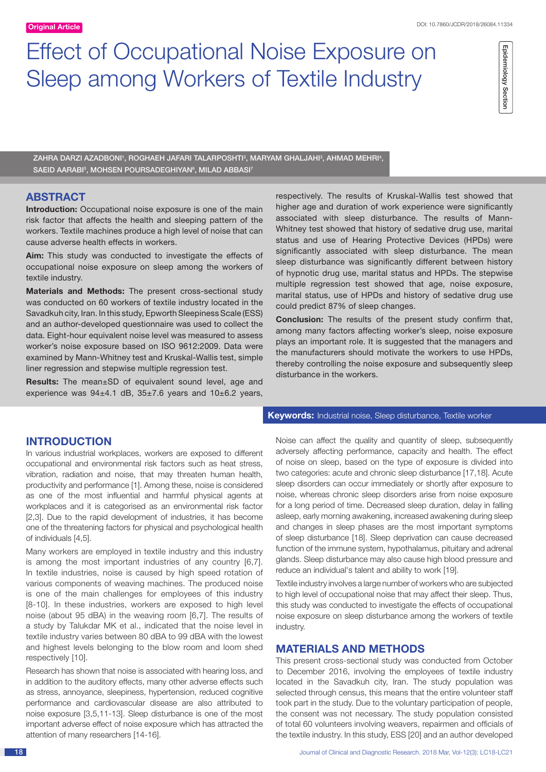# Effect of Occupational Noise Exposure on Sleep among Workers of Textile Industry

Epidemiology Section Epidemiology Section

ZAHRA DARZI AZADBONI', ROGHAEH JAFARI TALARPOSHTI<sup>2</sup>, MARYAM GHALJAHI<sup>3</sup>, AHMAD MEHRI<del>'</del>, SAEID AARABI<sup>5</sup>, MOHSEN POURSADEGHIYAN<sup>6</sup>, MILAD ABBASI<sup>7</sup>

# **ABSTRACT**

**Introduction:** Occupational noise exposure is one of the main risk factor that affects the health and sleeping pattern of the workers. Textile machines produce a high level of noise that can cause adverse health effects in workers.

**Aim:** This study was conducted to investigate the effects of occupational noise exposure on sleep among the workers of textile industry.

**Materials and Methods:** The present cross-sectional study was conducted on 60 workers of textile industry located in the Savadkuh city, Iran. In this study, Epworth Sleepiness Scale (ESS) and an author-developed questionnaire was used to collect the data. Eight-hour equivalent noise level was measured to assess worker's noise exposure based on ISO 9612:2009. Data were examined by Mann-Whitney test and Kruskal-Wallis test, simple liner regression and stepwise multiple regression test.

**Results:** The mean±SD of equivalent sound level, age and experience was 94±4.1 dB, 35±7.6 years and 10±6.2 years,

respectively. The results of Kruskal-Wallis test showed that higher age and duration of work experience were significantly associated with sleep disturbance. The results of Mann-Whitney test showed that history of sedative drug use, marital status and use of Hearing Protective Devices (HPDs) were significantly associated with sleep disturbance. The mean sleep disturbance was significantly different between history of hypnotic drug use, marital status and HPDs. The stepwise multiple regression test showed that age, noise exposure, marital status, use of HPDs and history of sedative drug use could predict 87% of sleep changes.

**Conclusion:** The results of the present study confirm that, among many factors affecting worker's sleep, noise exposure plays an important role. It is suggested that the managers and the manufacturers should motivate the workers to use HPDs, thereby controlling the noise exposure and subsequently sleep disturbance in the workers.

# **Introduction**

In various industrial workplaces, workers are exposed to different occupational and environmental risk factors such as heat stress, vibration, radiation and noise, that may threaten human health, productivity and performance [1]. Among these, noise is considered as one of the most influential and harmful physical agents at workplaces and it is categorised as an environmental risk factor [2,3]. Due to the rapid development of industries, it has become one of the threatening factors for physical and psychological health of individuals [4,5].

Many workers are employed in textile industry and this industry is among the most important industries of any country [6,7]. In textile industries, noise is caused by high speed rotation of various components of weaving machines. The produced noise is one of the main challenges for employees of this industry [8-10]. In these industries, workers are exposed to high level noise (about 95 dBA) in the weaving room [6,7]. The results of a study by Talukdar MK et al., indicated that the noise level in textile industry varies between 80 dBA to 99 dBA with the lowest and highest levels belonging to the blow room and loom shed respectively [10].

Research has shown that noise is associated with hearing loss, and in addition to the auditory effects, many other adverse effects such as stress, annoyance, sleepiness, hypertension, reduced cognitive performance and cardiovascular disease are also attributed to noise exposure [3,5,11-13]. Sleep disturbance is one of the most important adverse effect of noise exposure which has attracted the attention of many researchers [14-16].

# **Keywords:** Industrial noise, Sleep disturbance, Textile worker

Noise can affect the quality and quantity of sleep, subsequently adversely affecting performance, capacity and health. The effect of noise on sleep, based on the type of exposure is divided into two categories: acute and chronic sleep disturbance [17,18]. Acute sleep disorders can occur immediately or shortly after exposure to noise, whereas chronic sleep disorders arise from noise exposure for a long period of time. Decreased sleep duration, delay in falling asleep, early morning awakening, increased awakening during sleep and changes in sleep phases are the most important symptoms of sleep disturbance [18]. Sleep deprivation can cause decreased function of the immune system, hypothalamus, pituitary and adrenal glands. Sleep disturbance may also cause high blood pressure and reduce an individual's talent and ability to work [19].

Textile industry involves a large number of workers who are subjected to high level of occupational noise that may affect their sleep. Thus, this study was conducted to investigate the effects of occupational noise exposure on sleep disturbance among the workers of textile industry.

# **Materials and Methods**

This present cross-sectional study was conducted from October to December 2016, involving the employees of textile industry located in the Savadkuh city, Iran. The study population was selected through census, this means that the entire volunteer staff took part in the study. Due to the voluntary participation of people, the consent was not necessary. The study population consisted of total 60 volunteers involving weavers, repairmen and officials of the textile industry. In this study, ESS [20] and an author developed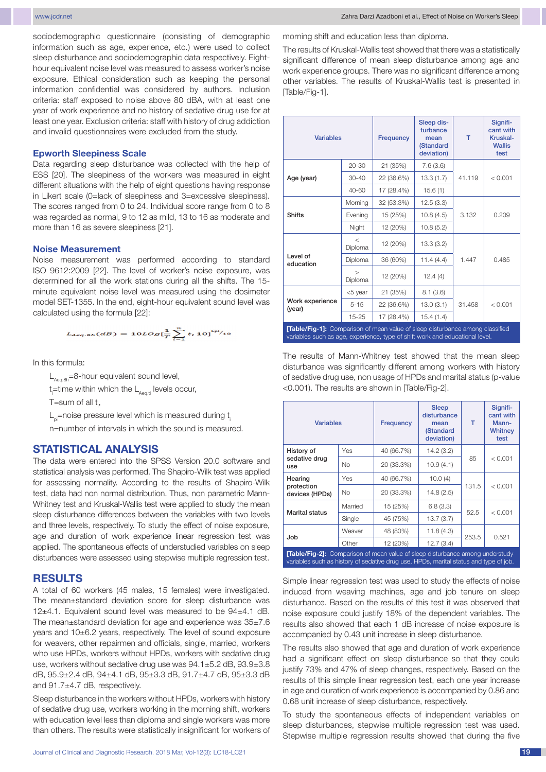sociodemographic questionnaire (consisting of demographic information such as age, experience, etc.) were used to collect sleep disturbance and sociodemographic data respectively. Eighthour equivalent noise level was measured to assess worker's noise exposure. Ethical consideration such as keeping the personal information confidential was considered by authors. Inclusion criteria: staff exposed to noise above 80 dBA, with at least one year of work experience and no history of sedative drug use for at least one year. Exclusion criteria: staff with history of drug addiction and invalid questionnaires were excluded from the study.

#### **Epworth Sleepiness Scale**

Data regarding sleep disturbance was collected with the help of ESS [20]. The sleepiness of the workers was measured in eight different situations with the help of eight questions having response in Likert scale (0=lack of sleepiness and 3=excessive sleepiness). The scores ranged from 0 to 24. Individual score range from 0 to 8 was regarded as normal, 9 to 12 as mild, 13 to 16 as moderate and more than 16 as severe sleepiness [21].

#### **Noise Measurement**

Noise measurement was performed according to standard ISO 9612:2009 [22]. The level of worker's noise exposure, was determined for all the work stations during all the shifts. The 15 minute equivalent noise level was measured using the dosimeter model SET-1355. In the end, eight-hour equivalent sound level was calculated using the formula [22]:

$$
L_{Aeq.8h}(dB) = 10 Log[\frac{1}{T}\sum_{i=1}^{n} t_i 10]^{Lpl/10}
$$

In this formula:

 $L_{\text{Ae}q.8h}$ =8-hour equivalent sound level,

 $t$  =time within which the  $L_{Aeq, t}$  levels occur, i

T=sum of all  $t_{i}$ ,

 $L<sub>pi</sub>=$ noise pressure level which is measured during t

n=number of intervals in which the sound is measured.

### **Statistical analysis**

The data were entered into the SPSS Version 20.0 software and statistical analysis was performed. The Shapiro-Wilk test was applied for assessing normality. According to the results of Shapiro-Wilk test, data had non normal distribution. Thus, non parametric Mann-Whitney test and Kruskal-Wallis test were applied to study the mean sleep disturbance differences between the variables with two levels and three levels, respectively. To study the effect of noise exposure, age and duration of work experience linear regression test was applied. The spontaneous effects of understudied variables on sleep disturbances were assessed using stepwise multiple regression test.

#### **Results**

A total of 60 workers (45 males, 15 females) were investigated. The mean±standard deviation score for sleep disturbance was 12±4.1. Equivalent sound level was measured to be 94±4.1 dB. The mean±standard deviation for age and experience was 35±7.6 years and 10±6.2 years, respectively. The level of sound exposure for weavers, other repairmen and officials, single, married, workers who use HPDs, workers without HPDs, workers with sedative drug use, workers without sedative drug use was 94.1±5.2 dB, 93.9±3.8 dB, 95.9±2.4 dB, 94±4.1 dB, 95±3.3 dB, 91.7±4.7 dB, 95±3.3 dB and 91.7±4.7 dB, respectively.

Sleep disturbance in the workers without HPDs, workers with history of sedative drug use, workers working in the morning shift, workers with education level less than diploma and single workers was more than others. The results were statistically insignificant for workers of morning shift and education less than diploma.

The results of Kruskal-Wallis test showed that there was a statistically significant difference of mean sleep disturbance among age and work experience groups. There was no significant difference among other variables. The results of Kruskal-Wallis test is presented in [Table/Fig-1].

| <b>Variables</b>                                                                                                                                              |                    | Frequency  | Sleep dis-<br>turbance<br>mean<br>(Standard<br>deviation) | т      | Signifi-<br>cant with<br>Kruskal-<br><b>Wallis</b><br>test |  |
|---------------------------------------------------------------------------------------------------------------------------------------------------------------|--------------------|------------|-----------------------------------------------------------|--------|------------------------------------------------------------|--|
| Age (year)                                                                                                                                                    | $20 - 30$          | 21 (35%)   | 7.6(3.6)                                                  | 41.119 | < 0.001                                                    |  |
|                                                                                                                                                               | $30 - 40$          | 22 (36.6%) | 13.3(1.7)                                                 |        |                                                            |  |
|                                                                                                                                                               | 40-60              | 17 (28.4%) | 15.6(1)                                                   |        |                                                            |  |
| <b>Shifts</b>                                                                                                                                                 | Morning            | 32 (53.3%) | 12.5(3.3)                                                 | 3.132  | 0.209                                                      |  |
|                                                                                                                                                               | Evening            | 15 (25%)   | 10.8(4.5)                                                 |        |                                                            |  |
|                                                                                                                                                               | Night              | 12 (20%)   | 10.8(5.2)                                                 |        |                                                            |  |
| Level of<br>education                                                                                                                                         | $\,<\,$<br>Diploma | 12 (20%)   | 13.3(3.2)                                                 | 1.447  | 0.485                                                      |  |
|                                                                                                                                                               | Diploma            | 36 (60%)   | 11.4(4.4)                                                 |        |                                                            |  |
|                                                                                                                                                               | $\geq$<br>Diploma  | 12 (20%)   | 12.4(4)                                                   |        |                                                            |  |
| Work experience<br>(year)                                                                                                                                     | <5 year            | 21 (35%)   | 8.1(3.6)                                                  | 31.458 | < 0.001                                                    |  |
|                                                                                                                                                               | $5 - 15$           | 22 (36.6%) | 13.0(3.1)                                                 |        |                                                            |  |
|                                                                                                                                                               | $15 - 25$          | 17 (28.4%) | 15.4(1.4)                                                 |        |                                                            |  |
| [Table/Fig-1]: Comparison of mean value of sleep disturbance among classified<br>variables such as age, experience, type of shift work and educational level. |                    |            |                                                           |        |                                                            |  |

The results of Mann-Whitney test showed that the mean sleep disturbance was significantly different among workers with history of sedative drug use, non usage of HPDs and marital status (p-value <0.001). The results are shown in [Table/Fig-2].

| <b>Variables</b>                                                                                                                                                              |           | <b>Frequency</b> | <b>Sleep</b><br>disturbance<br>mean<br>(Standard<br>deviation) | т     | Signifi-<br>cant with<br>Mann-<br>Whitney<br>test |  |
|-------------------------------------------------------------------------------------------------------------------------------------------------------------------------------|-----------|------------------|----------------------------------------------------------------|-------|---------------------------------------------------|--|
| History of<br>sedative drug<br>use                                                                                                                                            | Yes       | 40 (66.7%)       | 14.2(3.2)                                                      |       | < 0.001                                           |  |
|                                                                                                                                                                               | No        | 20 (33.3%)       | 10.9(4.1)                                                      | 85    |                                                   |  |
| Hearing<br>protection<br>devices (HPDs)                                                                                                                                       | Yes       | 40 (66.7%)       | 10.0(4)                                                        |       | < 0.001                                           |  |
|                                                                                                                                                                               | <b>No</b> | 20 (33.3%)       | 14.8(2.5)                                                      | 131.5 |                                                   |  |
| <b>Marital status</b>                                                                                                                                                         | Married   | 15 (25%)         | 6.8(3.3)                                                       | 52.5  | < 0.001                                           |  |
|                                                                                                                                                                               | Single    | 45 (75%)         | 13.7(3.7)                                                      |       |                                                   |  |
| Job                                                                                                                                                                           | Weaver    | 48 (80%)         | 11.8 (4.3)                                                     | 253.5 | 0.521                                             |  |
|                                                                                                                                                                               | Other     | 12 (20%)         | 12.7(3.4)                                                      |       |                                                   |  |
| <b>[Table/Fig-2]:</b> Comparison of mean value of sleep disturbance among understudy<br>variables such as history of sedative drug use, HPDs, marital status and type of job. |           |                  |                                                                |       |                                                   |  |

Simple linear regression test was used to study the effects of noise induced from weaving machines, age and job tenure on sleep disturbance. Based on the results of this test it was observed that noise exposure could justify 18% of the dependent variables. The results also showed that each 1 dB increase of noise exposure is accompanied by 0.43 unit increase in sleep disturbance.

The results also showed that age and duration of work experience had a significant effect on sleep disturbance so that they could justify 73% and 47% of sleep changes, respectively. Based on the results of this simple linear regression test, each one year increase in age and duration of work experience is accompanied by 0.86 and 0.68 unit increase of sleep disturbance, respectively.

To study the spontaneous effects of independent variables on sleep disturbances, stepwise multiple regression test was used. Stepwise multiple regression results showed that during the five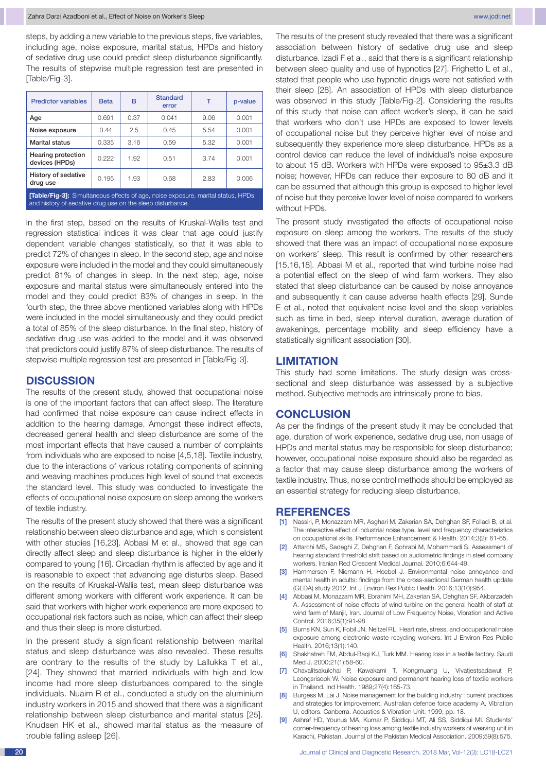steps, by adding a new variable to the previous steps, five variables, including age, noise exposure, marital status, HPDs and history of sedative drug use could predict sleep disturbance significantly. The results of stepwise multiple regression test are presented in [Table/Fig-3].

| <b>Predictor variables</b>                                                              | <b>Beta</b> | в    | <b>Standard</b><br>error | т    | p-value |  |
|-----------------------------------------------------------------------------------------|-------------|------|--------------------------|------|---------|--|
| Age                                                                                     | 0.691       | 0.37 | 0.041                    | 9.06 | 0.001   |  |
| Noise exposure                                                                          | 0.44        | 2.5  | 0.45                     | 5.54 | 0.001   |  |
| Marital status                                                                          | 0.335       | 3.16 | 0.59                     | 5.32 | 0.001   |  |
| Hearing protection<br>devices (HPDs)                                                    | 0.222       | 1.92 | 0.51                     | 3.74 | 0.001   |  |
| History of sedative<br>drug use                                                         | 0.195       | 1.93 | 0.68                     | 2.83 | 0.006   |  |
| <b>[Table/Fig-3]:</b> Simultaneous effects of age, noise exposure, marital status, HPDs |             |      |                          |      |         |  |

and history of sedative drug use on the sleep disturbance.

In the first step, based on the results of Kruskal-Wallis test and regression statistical indices it was clear that age could justify dependent variable changes statistically, so that it was able to predict 72% of changes in sleep. In the second step, age and noise exposure were included in the model and they could simultaneously predict 81% of changes in sleep. In the next step, age, noise exposure and marital status were simultaneously entered into the model and they could predict 83% of changes in sleep. In the fourth step, the three above mentioned variables along with HPDs were included in the model simultaneously and they could predict a total of 85% of the sleep disturbance. In the final step, history of sedative drug use was added to the model and it was observed that predictors could justify 87% of sleep disturbance. The results of stepwise multiple regression test are presented in [Table/Fig-3].

#### **Discussion**

The results of the present study, showed that occupational noise is one of the important factors that can affect sleep. The literature had confirmed that noise exposure can cause indirect effects in addition to the hearing damage. Amongst these indirect effects, decreased general health and sleep disturbance are some of the most important effects that have caused a number of complaints from individuals who are exposed to noise [4,5,18]. Textile industry, due to the interactions of various rotating components of spinning and weaving machines produces high level of sound that exceeds the standard level. This study was conducted to investigate the effects of occupational noise exposure on sleep among the workers of textile industry.

The results of the present study showed that there was a significant relationship between sleep disturbance and age, which is consistent with other studies [16,23]. Abbasi M et al., showed that age can directly affect sleep and sleep disturbance is higher in the elderly compared to young [16]. Circadian rhythm is affected by age and it is reasonable to expect that advancing age disturbs sleep. Based on the results of Kruskal-Wallis test, mean sleep disturbance was different among workers with different work experience. It can be said that workers with higher work experience are more exposed to occupational risk factors such as noise, which can affect their sleep and thus their sleep is more disturbed.

In the present study a significant relationship between marital status and sleep disturbance was also revealed. These results are contrary to the results of the study by Lallukka T et al., [24]. They showed that married individuals with high and low income had more sleep disturbances compared to the single individuals. Nuaim R et al., conducted a study on the aluminium industry workers in 2015 and showed that there was a significant relationship between sleep disturbance and marital status [25]. Knudsen HK et al., showed marital status as the measure of trouble falling asleep [26].

The results of the present study revealed that there was a significant association between history of sedative drug use and sleep disturbance. Izadi F et al., said that there is a significant relationship between sleep quality and use of hypnotics [27]. Frighetto L et al., stated that people who use hypnotic drugs were not satisfied with their sleep [28]. An association of HPDs with sleep disturbance was observed in this study [Table/Fig-2]. Considering the results of this study that noise can affect worker's sleep, it can be said that workers who don't use HPDs are exposed to lower levels of occupational noise but they perceive higher level of noise and subsequently they experience more sleep disturbance. HPDs as a control device can reduce the level of individual's noise exposure to about 15 dB. Workers with HPDs were exposed to 95±3.3 dB noise; however, HPDs can reduce their exposure to 80 dB and it can be assumed that although this group is exposed to higher level of noise but they perceive lower level of noise compared to workers without HPDs.

The present study investigated the effects of occupational noise exposure on sleep among the workers. The results of the study showed that there was an impact of occupational noise exposure on workers' sleep. This result is confirmed by other researchers [15,16,18]. Abbasi M et al., reported that wind turbine noise had a potential effect on the sleep of wind farm workers. They also stated that sleep disturbance can be caused by noise annoyance and subsequently it can cause adverse health effects [29]. Sunde E et al., noted that equivalent noise level and the sleep variables such as time in bed, sleep interval duration, average duration of awakenings, percentage mobility and sleep efficiency have a statistically significant association [30].

# **Limitation**

This study had some limitations. The study design was crosssectional and sleep disturbance was assessed by a subjective method. Subjective methods are intrinsically prone to bias.

# **Conclusion**

As per the findings of the present study it may be concluded that age, duration of work experience, sedative drug use, non usage of HPDs and marital status may be responsible for sleep disturbance; however, occupational noise exposure should also be regarded as a factor that may cause sleep disturbance among the workers of textile industry. Thus, noise control methods should be employed as an essential strategy for reducing sleep disturbance.

#### **References**

- [1] Nassiri, P, Monazzam MR, Asghari M, Zakerian SA, Dehghan SF, Folladi B, et al. The interactive effect of industrial noise type, level and frequency characteristics on occupational skills. Performance Enhancement & Health. 2014;3(2): 61-65.
- [2] Attarchi MS, Sadeghi Z, Dehghan F, Sohrabi M, Mohammadi S. Assessment of hearing standard threshold shift based on audiometric findings in steel company workers. Iranian Red Crescent Medical Journal. 2010;6:644-49.
- [3] Hammersen F, Niemann H, Hoebel J. Environmental noise annoyance and mental health in adults: findings from the cross-sectional German health update (GEDA) study 2012. Int J Environ Res Public Health. 2016;13(10):954.
- [4] Abbasi M, Monazzam MR, Ebrahimi MH, Zakerian SA, Dehghan SF, Akbarzadeh A. Assessment of noise effects of wind turbine on the general health of staff at wind farm of Manjil, Iran. Journal of Low Frequency Noise, Vibration and Active Control. 2016;35(1):91-98.
- [5] Burns KN, Sun K, Fobil JN, Neitzel RL. Heart rate, stress, and occupational noise exposure among electronic waste recycling workers. Int J Environ Res Public Health. 2016;13(1):140.
- [6] Shakhatreh FM, Abdul-Baqi KJ, Turk MM. Hearing loss in a textile factory. Saudi Med J. 2000;21(1):58-60.
- [7] Chavalitsakulchai P, Kawakami T, Kongmuang U, Vivatjestsadawut P, Leongsrisook W. Noise exposure and permanent hearing loss of textile workers in Thailand. Ind Health. 1989;27(4):165-73.
- [8] Burgess M, Lai J. Noise management for the building industry : current practices and strategies for improvement. Australian defence force academy A. Vibration U, editors. Canberra. Acoustics & Vibration Unit. 1999; pp. 18.
- [9] Ashraf HD, Younus MA, Kumar P, Siddiqui MT, Ali SS, Siddiqui MI. Students' corner-frequency of hearing loss among textile industry workers of weaving unit in Karachi, Pakistan. Journal of the Pakistan Medical Association. 2009;59(8):575.